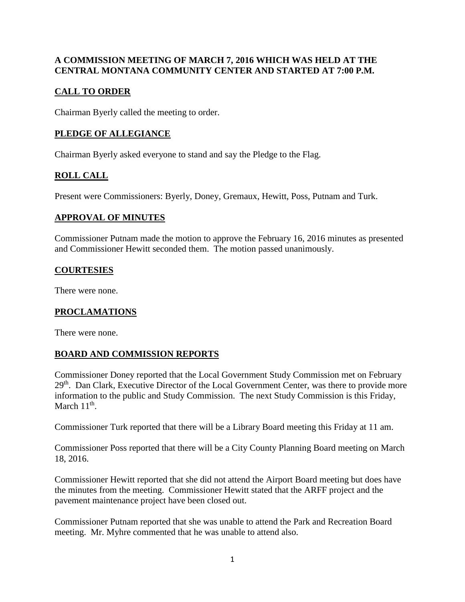#### **A COMMISSION MEETING OF MARCH 7, 2016 WHICH WAS HELD AT THE CENTRAL MONTANA COMMUNITY CENTER AND STARTED AT 7:00 P.M.**

# **CALL TO ORDER**

Chairman Byerly called the meeting to order.

# **PLEDGE OF ALLEGIANCE**

Chairman Byerly asked everyone to stand and say the Pledge to the Flag.

# **ROLL CALL**

Present were Commissioners: Byerly, Doney, Gremaux, Hewitt, Poss, Putnam and Turk.

#### **APPROVAL OF MINUTES**

Commissioner Putnam made the motion to approve the February 16, 2016 minutes as presented and Commissioner Hewitt seconded them. The motion passed unanimously.

## **COURTESIES**

There were none.

## **PROCLAMATIONS**

There were none.

## **BOARD AND COMMISSION REPORTS**

Commissioner Doney reported that the Local Government Study Commission met on February 29<sup>th</sup>. Dan Clark, Executive Director of the Local Government Center, was there to provide more information to the public and Study Commission. The next Study Commission is this Friday, March  $11<sup>th</sup>$ .

Commissioner Turk reported that there will be a Library Board meeting this Friday at 11 am.

Commissioner Poss reported that there will be a City County Planning Board meeting on March 18, 2016.

Commissioner Hewitt reported that she did not attend the Airport Board meeting but does have the minutes from the meeting. Commissioner Hewitt stated that the ARFF project and the pavement maintenance project have been closed out.

Commissioner Putnam reported that she was unable to attend the Park and Recreation Board meeting. Mr. Myhre commented that he was unable to attend also.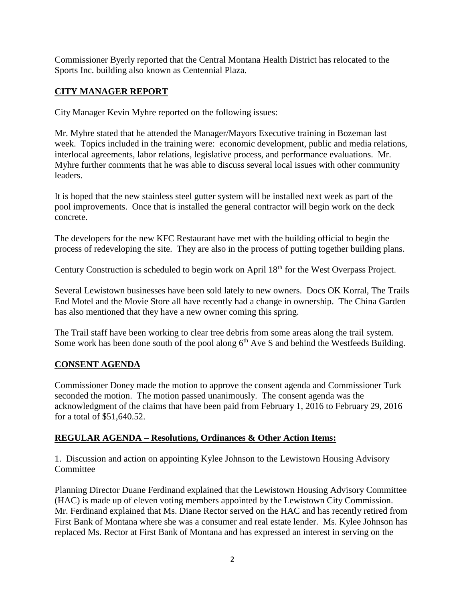Commissioner Byerly reported that the Central Montana Health District has relocated to the Sports Inc. building also known as Centennial Plaza.

# **CITY MANAGER REPORT**

City Manager Kevin Myhre reported on the following issues:

Mr. Myhre stated that he attended the Manager/Mayors Executive training in Bozeman last week. Topics included in the training were: economic development, public and media relations, interlocal agreements, labor relations, legislative process, and performance evaluations. Mr. Myhre further comments that he was able to discuss several local issues with other community leaders.

It is hoped that the new stainless steel gutter system will be installed next week as part of the pool improvements. Once that is installed the general contractor will begin work on the deck concrete.

The developers for the new KFC Restaurant have met with the building official to begin the process of redeveloping the site. They are also in the process of putting together building plans.

Century Construction is scheduled to begin work on April 18<sup>th</sup> for the West Overpass Project.

Several Lewistown businesses have been sold lately to new owners. Docs OK Korral, The Trails End Motel and the Movie Store all have recently had a change in ownership. The China Garden has also mentioned that they have a new owner coming this spring.

The Trail staff have been working to clear tree debris from some areas along the trail system. Some work has been done south of the pool along  $6<sup>th</sup>$  Ave S and behind the Westfeeds Building.

## **CONSENT AGENDA**

Commissioner Doney made the motion to approve the consent agenda and Commissioner Turk seconded the motion. The motion passed unanimously. The consent agenda was the acknowledgment of the claims that have been paid from February 1, 2016 to February 29, 2016 for a total of \$51,640.52.

## **REGULAR AGENDA – Resolutions, Ordinances & Other Action Items:**

1. Discussion and action on appointing Kylee Johnson to the Lewistown Housing Advisory Committee

Planning Director Duane Ferdinand explained that the Lewistown Housing Advisory Committee (HAC) is made up of eleven voting members appointed by the Lewistown City Commission. Mr. Ferdinand explained that Ms. Diane Rector served on the HAC and has recently retired from First Bank of Montana where she was a consumer and real estate lender. Ms. Kylee Johnson has replaced Ms. Rector at First Bank of Montana and has expressed an interest in serving on the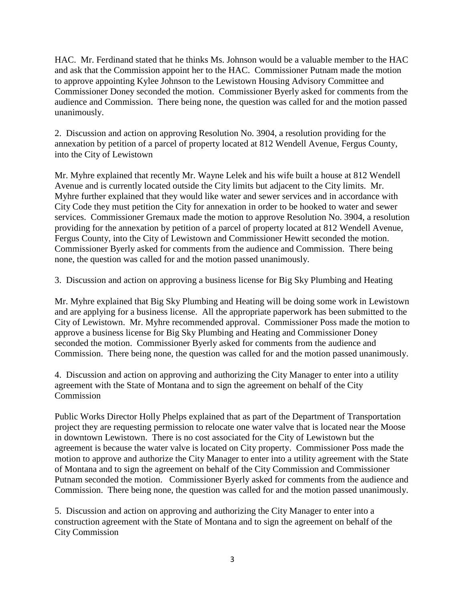HAC. Mr. Ferdinand stated that he thinks Ms. Johnson would be a valuable member to the HAC and ask that the Commission appoint her to the HAC. Commissioner Putnam made the motion to approve appointing Kylee Johnson to the Lewistown Housing Advisory Committee and Commissioner Doney seconded the motion. Commissioner Byerly asked for comments from the audience and Commission. There being none, the question was called for and the motion passed unanimously.

2. Discussion and action on approving Resolution No. 3904, a resolution providing for the annexation by petition of a parcel of property located at 812 Wendell Avenue, Fergus County, into the City of Lewistown

Mr. Myhre explained that recently Mr. Wayne Lelek and his wife built a house at 812 Wendell Avenue and is currently located outside the City limits but adjacent to the City limits. Mr. Myhre further explained that they would like water and sewer services and in accordance with City Code they must petition the City for annexation in order to be hooked to water and sewer services. Commissioner Gremaux made the motion to approve Resolution No. 3904, a resolution providing for the annexation by petition of a parcel of property located at 812 Wendell Avenue, Fergus County, into the City of Lewistown and Commissioner Hewitt seconded the motion. Commissioner Byerly asked for comments from the audience and Commission. There being none, the question was called for and the motion passed unanimously.

3. Discussion and action on approving a business license for Big Sky Plumbing and Heating

Mr. Myhre explained that Big Sky Plumbing and Heating will be doing some work in Lewistown and are applying for a business license. All the appropriate paperwork has been submitted to the City of Lewistown. Mr. Myhre recommended approval. Commissioner Poss made the motion to approve a business license for Big Sky Plumbing and Heating and Commissioner Doney seconded the motion. Commissioner Byerly asked for comments from the audience and Commission. There being none, the question was called for and the motion passed unanimously.

4. Discussion and action on approving and authorizing the City Manager to enter into a utility agreement with the State of Montana and to sign the agreement on behalf of the City **Commission** 

Public Works Director Holly Phelps explained that as part of the Department of Transportation project they are requesting permission to relocate one water valve that is located near the Moose in downtown Lewistown. There is no cost associated for the City of Lewistown but the agreement is because the water valve is located on City property. Commissioner Poss made the motion to approve and authorize the City Manager to enter into a utility agreement with the State of Montana and to sign the agreement on behalf of the City Commission and Commissioner Putnam seconded the motion. Commissioner Byerly asked for comments from the audience and Commission. There being none, the question was called for and the motion passed unanimously.

5. Discussion and action on approving and authorizing the City Manager to enter into a construction agreement with the State of Montana and to sign the agreement on behalf of the City Commission